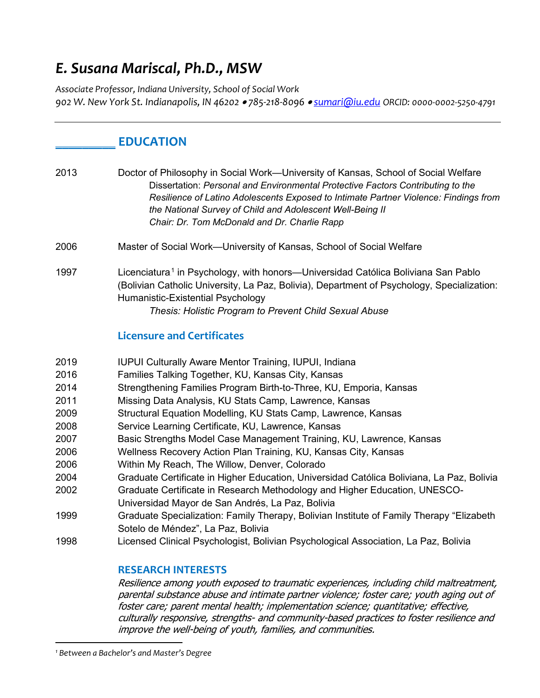# *E. Susana Mariscal, Ph.D., MSW*

*Associate Professor, Indiana University, School of Social Work 902 W. New York St. Indianapolis, IN 46202* • *785-218-8096* • *sumari@iu.edu ORCID: 0000-0002-5250-4791*

## **\_\_\_\_\_\_\_\_\_ EDUCATION**

2013 Doctor of Philosophy in Social Work—University of Kansas, School of Social Welfare Dissertation: *Personal and Environmental Protective Factors Contributing to the Resilience of Latino Adolescents Exposed to Intimate Partner Violence: Findings from the National Survey of Child and Adolescent Well-Being II Chair: Dr. Tom McDonald and Dr. Charlie Rapp*

- 2006 Master of Social Work—University of Kansas, School of Social Welfare
- 1997 Licenciatura<sup>1</sup> in Psychology, with honors—Universidad Católica Boliviana San Pablo (Bolivian Catholic University, La Paz, Bolivia), Department of Psychology, Specialization: Humanistic-Existential Psychology

*Thesis: Holistic Program to Prevent Child Sexual Abuse*

### **Licensure and Certificates**

- 2019 IUPUI Culturally Aware Mentor Training, IUPUI, Indiana
- 2016 Families Talking Together, KU, Kansas City, Kansas
- 2014 Strengthening Families Program Birth-to-Three, KU, Emporia, Kansas
- 2011 Missing Data Analysis, KU Stats Camp, Lawrence, Kansas
- 2009 Structural Equation Modelling, KU Stats Camp, Lawrence, Kansas
- 2008 Service Learning Certificate, KU, Lawrence, Kansas
- 2007 Basic Strengths Model Case Management Training, KU, Lawrence, Kansas
- 2006 Wellness Recovery Action Plan Training, KU, Kansas City, Kansas
- 2006 Within My Reach, The Willow, Denver, Colorado
- 2004 Graduate Certificate in Higher Education, Universidad Católica Boliviana, La Paz, Bolivia
- 2002 Graduate Certificate in Research Methodology and Higher Education, UNESCO-
- Universidad Mayor de San Andrés, La Paz, Bolivia
- 1999 Graduate Specialization: Family Therapy, Bolivian Institute of Family Therapy "Elizabeth Sotelo de Méndez", La Paz, Bolivia
- 1998 Licensed Clinical Psychologist, Bolivian Psychological Association, La Paz, Bolivia

#### **RESEARCH INTERESTS**

Resilience among youth exposed to traumatic experiences, including child maltreatment, parental substance abuse and intimate partner violence; foster care; youth aging out of foster care; parent mental health; implementation science; quantitative; effective, culturally responsive, strengths- and community-based practices to foster resilience and improve the well-being of youth, families, and communities.

*<sup>1</sup> Between a Bachelor's and Master's Degree*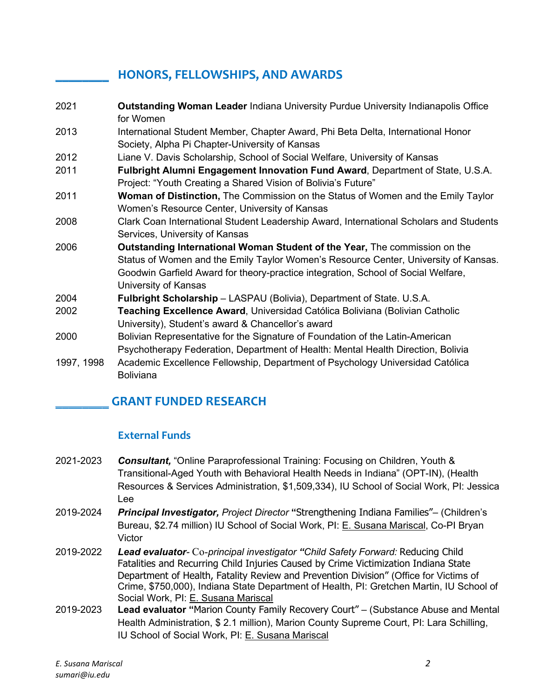## **\_\_\_\_\_\_\_\_ HONORS, FELLOWSHIPS, AND AWARDS**

2021 **Outstanding Woman Leader** Indiana University Purdue University Indianapolis Office for Women 2013 International Student Member, Chapter Award, Phi Beta Delta, International Honor Society, Alpha Pi Chapter-University of Kansas 2012 Liane V. Davis Scholarship, School of Social Welfare, University of Kansas 2011 **Fulbright Alumni Engagement Innovation Fund Award**, Department of State, U.S.A. Project: "Youth Creating a Shared Vision of Bolivia's Future" 2011 **Woman of Distinction,** The Commission on the Status of Women and the Emily Taylor Women's Resource Center, University of Kansas 2008 Clark Coan International Student Leadership Award, International Scholars and Students Services, University of Kansas 2006 **Outstanding International Woman Student of the Year,** The commission on the Status of Women and the Emily Taylor Women's Resource Center, University of Kansas. Goodwin Garfield Award for theory-practice integration, School of Social Welfare, University of Kansas 2004 **Fulbright Scholarship** – LASPAU (Bolivia), Department of State. U.S.A. 2002 **Teaching Excellence Award**, Universidad Católica Boliviana (Bolivian Catholic University), Student's award & Chancellor's award 2000 Bolivian Representative for the Signature of Foundation of the Latin-American Psychotherapy Federation, Department of Health: Mental Health Direction, Bolivia 1997, 1998 Academic Excellence Fellowship, Department of Psychology Universidad Católica Boliviana

## **\_\_\_\_\_\_\_\_ GRANT FUNDED RESEARCH**

## **External Funds**

- 2021-2023 *Consultant,* "Online Paraprofessional Training: Focusing on Children, Youth & Transitional-Aged Youth with Behavioral Health Needs in Indiana" (OPT-IN), (Health Resources & Services Administration, \$1,509,334), IU School of Social Work, PI: Jessica Lee
- 2019-2024 *Principal Investigator, Project Director* **"**Strengthening Indiana Families"– (Children's Bureau, \$2.74 million) IU School of Social Work, PI: E. Susana Mariscal, Co-PI Bryan Victor
- 2019-2022 *Lead evaluator-* Co-*principal investigator "Child Safety Forward:* Reducing Child Fatalities and Recurring Child Injuries Caused by Crime Victimization Indiana State Department of Health, Fatality Review and Prevention Division" (Office for Victims of Crime, \$750,000), Indiana State Department of Health, PI: Gretchen Martin, IU School of Social Work, PI: E. Susana Mariscal
- 2019-2023 **Lead evaluator "**Marion County Family Recovery Court" (Substance Abuse and Mental Health Administration, \$ 2.1 million), Marion County Supreme Court, PI: Lara Schilling, IU School of Social Work, PI: E. Susana Mariscal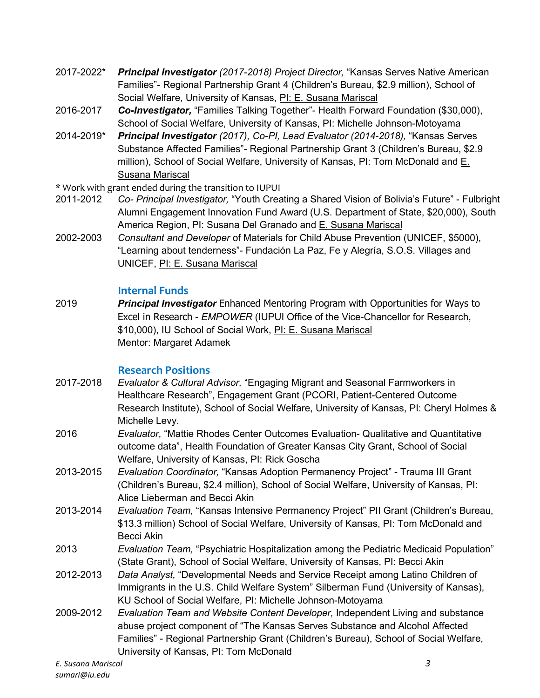- 2017-2022\* *Principal Investigator (2017-2018) Project Director,* "Kansas Serves Native American Families"- Regional Partnership Grant 4 (Children's Bureau, \$2.9 million), School of Social Welfare, University of Kansas, PI: E. Susana Mariscal
- 2016-2017 *Co-Investigator,* "Families Talking Together"- Health Forward Foundation (\$30,000), School of Social Welfare, University of Kansas, PI: Michelle Johnson-Motoyama
- 2014-2019\* *Principal Investigator (2017), Co-PI, Lead Evaluator (2014-2018),* "Kansas Serves Substance Affected Families"- Regional Partnership Grant 3 (Children's Bureau, \$2.9 million), School of Social Welfare, University of Kansas, PI: Tom McDonald and E. Susana Mariscal
- \* Work with grant ended during the transition to IUPUI
- 2011-2012 *Co- Principal Investigator,* "Youth Creating a Shared Vision of Bolivia's Future" Fulbright Alumni Engagement Innovation Fund Award (U.S. Department of State, \$20,000), South America Region, PI: Susana Del Granado and E. Susana Mariscal
- 2002-2003 *Consultant and Developer* of Materials for Child Abuse Prevention (UNICEF, \$5000), "Learning about tenderness"- Fundación La Paz, Fe y Alegría, S.O.S. Villages and UNICEF, PI: E. Susana Mariscal

#### **Internal Funds**

2019 *Principal Investigator* Enhanced Mentoring Program with Opportunities for Ways to Excel in Research - *EMPOWER* (IUPUI Office of the Vice-Chancellor for Research, \$10,000), IU School of Social Work, PI: E. Susana Mariscal Mentor: Margaret Adamek

### **Research Positions**

- 2017-2018 *Evaluator & Cultural Advisor,* "Engaging Migrant and Seasonal Farmworkers in Healthcare Research", Engagement Grant (PCORI, Patient-Centered Outcome Research Institute), School of Social Welfare, University of Kansas, PI: Cheryl Holmes & Michelle Levy.
- 2016 *Evaluator,* "Mattie Rhodes Center Outcomes Evaluation- Qualitative and Quantitative outcome data", Health Foundation of Greater Kansas City Grant, School of Social Welfare, University of Kansas, PI: Rick Goscha
- 2013-2015 *Evaluation Coordinator,* "Kansas Adoption Permanency Project" Trauma III Grant (Children's Bureau, \$2.4 million), School of Social Welfare, University of Kansas, PI: Alice Lieberman and Becci Akin
- 2013-2014 *Evaluation Team,* "Kansas Intensive Permanency Project" PII Grant (Children's Bureau, \$13.3 million) School of Social Welfare, University of Kansas, PI: Tom McDonald and Becci Akin
- 2013 *Evaluation Team,* "Psychiatric Hospitalization among the Pediatric Medicaid Population" (State Grant), School of Social Welfare, University of Kansas, PI: Becci Akin
- 2012-2013 *Data Analyst,* "Developmental Needs and Service Receipt among Latino Children of Immigrants in the U.S. Child Welfare System" Silberman Fund (University of Kansas), KU School of Social Welfare, PI: Michelle Johnson-Motoyama
- 2009-2012 *Evaluation Team and Website Content Developer,* Independent Living and substance abuse project component of "The Kansas Serves Substance and Alcohol Affected Families" - Regional Partnership Grant (Children's Bureau), School of Social Welfare, University of Kansas, PI: Tom McDonald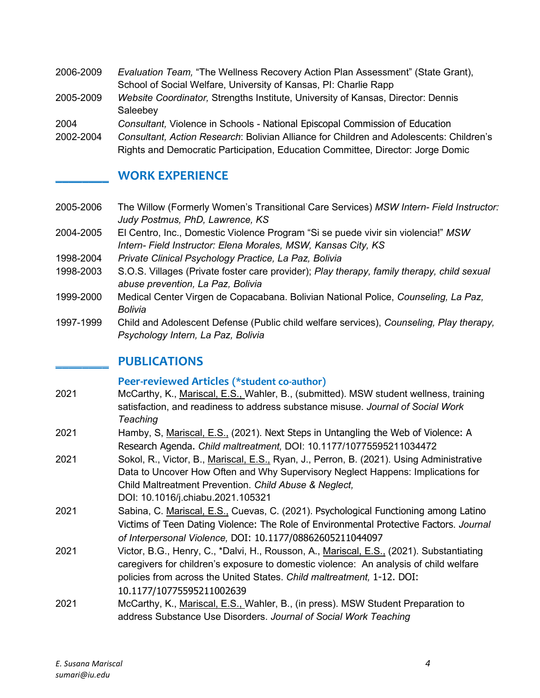- 2006-2009 *Evaluation Team,* "The Wellness Recovery Action Plan Assessment" (State Grant), School of Social Welfare, University of Kansas, PI: Charlie Rapp
- 2005-2009 *Website Coordinator,* Strengths Institute, University of Kansas, Director: Dennis **Saleebev**
- 2004 *Consultant,* Violence in Schools National Episcopal Commission of Education
- 2002-2004 *Consultant, Action Research*: Bolivian Alliance for Children and Adolescents: Children's
	- Rights and Democratic Participation, Education Committee, Director: Jorge Domic

## **\_\_\_\_\_\_\_\_ WORK EXPERIENCE**

- 2005-2006 The Willow (Formerly Women's Transitional Care Services) *MSW Intern- Field Instructor: Judy Postmus, PhD, Lawrence, KS*
- 2004-2005 El Centro, Inc., Domestic Violence Program "Si se puede vivir sin violencia!" *MSW Intern- Field Instructor: Elena Morales, MSW, Kansas City, KS*
- 1998-2004 *Private Clinical Psychology Practice, La Paz, Bolivia*
- 1998-2003 S.O.S. Villages (Private foster care provider); *Play therapy, family therapy, child sexual abuse prevention, La Paz, Bolivia*
- 1999-2000 Medical Center Virgen de Copacabana. Bolivian National Police, *Counseling, La Paz, Bolivia*
- 1997-1999 Child and Adolescent Defense (Public child welfare services), *Counseling, Play therapy, Psychology Intern, La Paz, Bolivia*

## **\_\_\_\_\_\_\_\_ PUBLICATIONS**

#### **Peer-reviewed Articles (\*student co-author)**

- 2021 McCarthy, K., Mariscal, E.S., Wahler, B., (submitted). MSW student wellness, training satisfaction, and readiness to address substance misuse. *Journal of Social Work Teaching*
- 2021 Hamby, S, Mariscal, E.S., (2021). Next Steps in Untangling the Web of Violence: A Research Agenda. *Child maltreatment,* DOI: [10.1177/10775595211034472](http://dx.doi.org/10.1177/10775595211034472)
- 2021 Sokol, R., Victor, B., Mariscal, E.S., Ryan, J., Perron, B. (2021). Using Administrative Data to Uncover How Often and Why Supervisory Neglect Happens: Implications for Child Maltreatment Prevention. *Child Abuse & Neglect,* DOI: [10.1016/j.chiabu.2021.105321](http://dx.doi.org/10.1016/j.chiabu.2021.105321)
- 2021 Sabina, C. Mariscal, E.S., Cuevas, C. (2021). Psychological Functioning among Latino Victims of Teen Dating Violence: The Role of Environmental Protective Factors. *Journal of Interpersonal Violence,* DOI: [10.1177/08862605211044097](http://dx.doi.org/10.1177/08862605211044097)
- 2021 Victor, B.G., Henry, C., \*Dalvi, H., Rousson, A., Mariscal, E.S., (2021). Substantiating caregivers for children's exposure to domestic violence: An analysis of child welfare policies from across the United States. *Child maltreatment,* 1-12. DOI: 10.1177/10775595211002639
- 2021 McCarthy, K., Mariscal, E.S., Wahler, B., (in press). MSW Student Preparation to address Substance Use Disorders. *Journal of Social Work Teaching*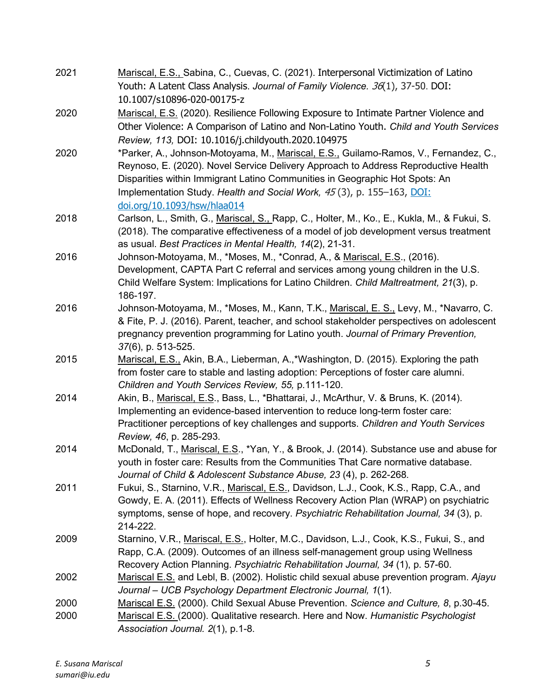| 2021 | Mariscal, E.S., Sabina, C., Cuevas, C. (2021). Interpersonal Victimization of Latino<br>Youth: A Latent Class Analysis. Journal of Family Violence. 36(1), 37-50. DOI:                                                                                                                                                                                            |
|------|-------------------------------------------------------------------------------------------------------------------------------------------------------------------------------------------------------------------------------------------------------------------------------------------------------------------------------------------------------------------|
|      | 10.1007/s10896-020-00175-z                                                                                                                                                                                                                                                                                                                                        |
| 2020 | Mariscal, E.S. (2020). Resilience Following Exposure to Intimate Partner Violence and<br>Other Violence: A Comparison of Latino and Non-Latino Youth. Child and Youth Services<br>Review, 113, DOI: 10.1016/j.childyouth.2020.104975                                                                                                                              |
| 2020 | *Parker, A., Johnson-Motoyama, M., Mariscal, E.S., Guilamo-Ramos, V., Fernandez, C.,<br>Reynoso, E. (2020). Novel Service Delivery Approach to Address Reproductive Health<br>Disparities within Immigrant Latino Communities in Geographic Hot Spots: An<br>Implementation Study. Health and Social Work, 45(3), p. 155-163, DOI:<br>doi.org/10.1093/hsw/hlaa014 |
| 2018 | Carlson, L., Smith, G., Mariscal, S., Rapp, C., Holter, M., Ko., E., Kukla, M., & Fukui, S.<br>(2018). The comparative effectiveness of a model of job development versus treatment<br>as usual. Best Practices in Mental Health, 14(2), 21-31.                                                                                                                   |
| 2016 | Johnson-Motoyama, M., *Moses, M., *Conrad, A., & Mariscal, E.S., (2016).<br>Development, CAPTA Part C referral and services among young children in the U.S.<br>Child Welfare System: Implications for Latino Children. Child Maltreatment, 21(3), p.<br>186-197.                                                                                                 |
| 2016 | Johnson-Motoyama, M., *Moses, M., Kann, T.K., Mariscal, E. S., Levy, M., *Navarro, C.<br>& Fite, P. J. (2016). Parent, teacher, and school stakeholder perspectives on adolescent<br>pregnancy prevention programming for Latino youth. Journal of Primary Prevention,<br>37(6), p. 513-525.                                                                      |
| 2015 | Mariscal, E.S., Akin, B.A., Lieberman, A.,*Washington, D. (2015). Exploring the path<br>from foster care to stable and lasting adoption: Perceptions of foster care alumni.<br>Children and Youth Services Review, 55, p.111-120.                                                                                                                                 |
| 2014 | Akin, B., Mariscal, E.S., Bass, L., *Bhattarai, J., McArthur, V. & Bruns, K. (2014).<br>Implementing an evidence-based intervention to reduce long-term foster care:<br>Practitioner perceptions of key challenges and supports. Children and Youth Services<br>Review, 46, p. 285-293.                                                                           |
| 2014 | McDonald, T., Mariscal, E.S., *Yan, Y., & Brook, J. (2014). Substance use and abuse for<br>youth in foster care: Results from the Communities That Care normative database.<br>Journal of Child & Adolescent Substance Abuse, 23 (4), p. 262-268.                                                                                                                 |
| 2011 | Fukui, S., Starnino, V.R., Mariscal, E.S., Davidson, L.J., Cook, K.S., Rapp, C.A., and<br>Gowdy, E. A. (2011). Effects of Wellness Recovery Action Plan (WRAP) on psychiatric<br>symptoms, sense of hope, and recovery. Psychiatric Rehabilitation Journal, 34 (3), p.<br>214-222.                                                                                |
| 2009 | Starnino, V.R., Mariscal, E.S., Holter, M.C., Davidson, L.J., Cook, K.S., Fukui, S., and<br>Rapp, C.A. (2009). Outcomes of an illness self-management group using Wellness<br>Recovery Action Planning. Psychiatric Rehabilitation Journal, 34 (1), p. 57-60.                                                                                                     |
| 2002 | Mariscal E.S. and Lebl, B. (2002). Holistic child sexual abuse prevention program. Ajayu<br>Journal - UCB Psychology Department Electronic Journal, 1(1).                                                                                                                                                                                                         |
| 2000 | Mariscal E.S. (2000). Child Sexual Abuse Prevention. Science and Culture, 8, p.30-45.                                                                                                                                                                                                                                                                             |
| 2000 | Mariscal E.S. (2000). Qualitative research. Here and Now. Humanistic Psychologist<br>Association Journal. 2(1), p.1-8.                                                                                                                                                                                                                                            |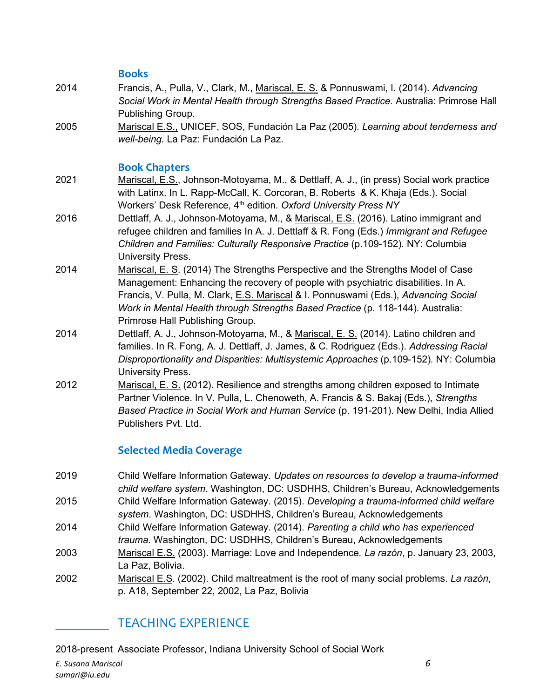#### **Books**

- 2014 Francis, A., Pulla, V., Clark, M., Mariscal, E. S. & Ponnuswami, I. (2014). *Advancing Social Work in Mental Health through Strengths Based Practice.* Australia: Primrose Hall Publishing Group.
- 2005 Mariscal E.S., UNICEF, SOS, Fundación La Paz (2005). *Learning about tenderness and well-being.* La Paz: Fundación La Paz.

#### **Book Chapters**

- 2021 Mariscal, E.S., Johnson-Motoyama, M., & Dettlaff, A. J., (in press) Social work practice with Latinx. In L. Rapp-McCall, K. Corcoran, B. Roberts & K. Khaja (Eds.). Social Workers' Desk Reference, 4th edition*. Oxford University Press NY*
- 2016 Dettlaff, A. J., Johnson-Motoyama, M., & Mariscal, E.S. (2016). Latino immigrant and refugee children and families In A. J. Dettlaff & R. Fong (Eds.) *Immigrant and Refugee Children and Families: Culturally Responsive Practice* (p.109-152)*.* NY: Columbia University Press.
- 2014 Mariscal, E. S. (2014) The Strengths Perspective and the Strengths Model of Case Management: Enhancing the recovery of people with psychiatric disabilities. In A. Francis, V. Pulla, M. Clark, E.S. Mariscal & I. Ponnuswami (Eds.), *Advancing Social Work in Mental Health through Strengths Based Practice* (p. 118-144)*.* Australia: Primrose Hall Publishing Group.
- 2014 Dettlaff, A. J., Johnson-Motoyama, M., & Mariscal, E. S. (2014). Latino children and families. In R. Fong, A. J. Dettlaff, J. James, & C. Rodriguez (Eds.). *Addressing Racial Disproportionality and Disparities: Multisystemic Approaches* (p.109-152)*.* NY: Columbia University Press.
- 2012 Mariscal, E. S. (2012). Resilience and strengths among children exposed to Intimate Partner Violence. In V. Pulla, L. Chenoweth, A. Francis & S. Bakaj (Eds.), *Strengths Based Practice in Social Work and Human Service* (p. 191-201). New Delhi, India Allied Publishers Pvt. Ltd.

### **Selected Media Coverage**

- 2019 Child Welfare Information Gateway. *Updates on resources to develop a trauma-informed child welfare system*. Washington, DC: USDHHS, Children's Bureau, Acknowledgements 2015 Child Welfare Information Gateway. (2015). *Developing a trauma-informed child welfare*
- *system*. Washington, DC: USDHHS, Children's Bureau, Acknowledgements
- 2014 Child Welfare Information Gateway. (2014). *Parenting a child who has experienced trauma*. Washington, DC: USDHHS, Children's Bureau, Acknowledgements
- 2003 Mariscal E.S. (2003). Marriage: Love and Independence*. La razón*, p. January 23, 2003, La Paz, Bolivia.
- 2002 Mariscal E.S. (2002). Child maltreatment is the root of many social problems. *La razón*, p. A18, September 22, 2002, La Paz, Bolivia

## \_\_\_\_\_\_\_\_ TEACHING EXPERIENCE

2018-present Associate Professor, Indiana University School of Social Work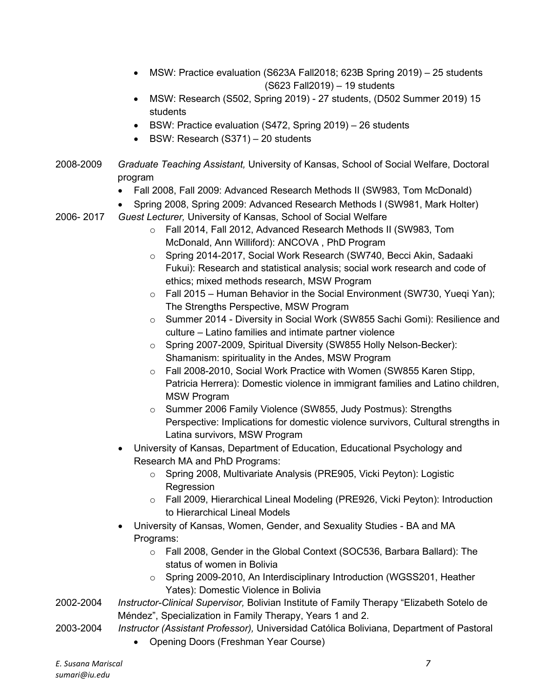- MSW: Practice evaluation (S623A Fall2018; 623B Spring 2019) 25 students (S623 Fall2019) – 19 students
- MSW: Research (S502, Spring 2019) 27 students, (D502 Summer 2019) 15 students
- BSW: Practice evaluation (S472, Spring 2019) 26 students
- BSW: Research (S371) 20 students
- 2008-2009 *Graduate Teaching Assistant,* University of Kansas, School of Social Welfare, Doctoral program
	- Fall 2008, Fall 2009: Advanced Research Methods II (SW983, Tom McDonald)
	- Spring 2008, Spring 2009: Advanced Research Methods I (SW981, Mark Holter)
- 2006- 2017 *Guest Lecturer,* University of Kansas, School of Social Welfare
	- o Fall 2014, Fall 2012, Advanced Research Methods II (SW983, Tom McDonald, Ann Williford): ANCOVA , PhD Program
	- o Spring 2014-2017, Social Work Research (SW740, Becci Akin, Sadaaki Fukui): Research and statistical analysis; social work research and code of ethics; mixed methods research, MSW Program
	- $\circ$  Fall 2015 Human Behavior in the Social Environment (SW730, Yueqi Yan); The Strengths Perspective, MSW Program
	- o Summer 2014 Diversity in Social Work (SW855 Sachi Gomi): Resilience and culture – Latino families and intimate partner violence
	- o Spring 2007-2009, Spiritual Diversity (SW855 Holly Nelson-Becker): Shamanism: spirituality in the Andes, MSW Program
	- o Fall 2008-2010, Social Work Practice with Women (SW855 Karen Stipp, Patricia Herrera): Domestic violence in immigrant families and Latino children, MSW Program
	- o Summer 2006 Family Violence (SW855, Judy Postmus): Strengths Perspective: Implications for domestic violence survivors, Cultural strengths in Latina survivors, MSW Program
	- University of Kansas, Department of Education, Educational Psychology and Research MA and PhD Programs:
		- o Spring 2008, Multivariate Analysis (PRE905, Vicki Peyton): Logistic **Regression**
		- o Fall 2009, Hierarchical Lineal Modeling (PRE926, Vicki Peyton): Introduction to Hierarchical Lineal Models
	- University of Kansas, Women, Gender, and Sexuality Studies BA and MA Programs:
		- o Fall 2008, Gender in the Global Context (SOC536, Barbara Ballard): The status of women in Bolivia
		- o Spring 2009-2010, An Interdisciplinary Introduction (WGSS201, Heather Yates): Domestic Violence in Bolivia
- 2002-2004 *Instructor-Clinical Supervisor,* Bolivian Institute of Family Therapy "Elizabeth Sotelo de Méndez", Specialization in Family Therapy, Years 1 and 2.
- 2003-2004 *Instructor (Assistant Professor),* Universidad Católica Boliviana, Department of Pastoral
	- Opening Doors (Freshman Year Course)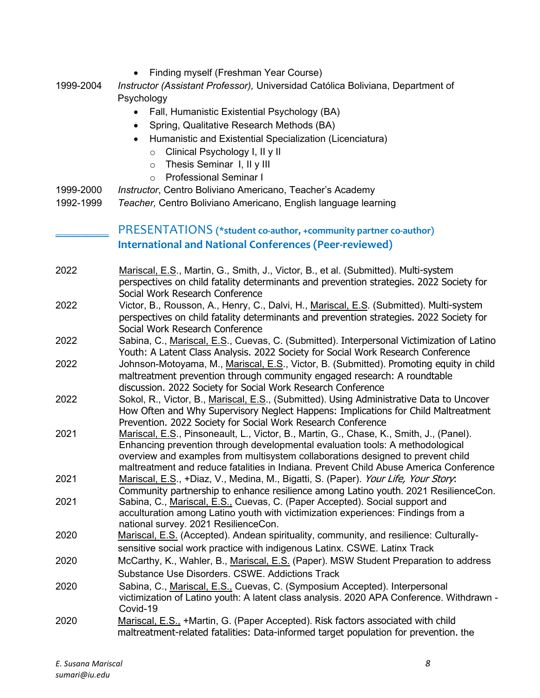- Finding myself (Freshman Year Course)
- 1999-2004 *Instructor (Assistant Professor),* Universidad Católica Boliviana, Department of Psychology
	- Fall, Humanistic Existential Psychology (BA)
	- Spring, Qualitative Research Methods (BA)
	- Humanistic and Existential Specialization (Licenciatura)
		- o Clinical Psychology I, II y II
		- o Thesis Seminar I, II y III
		- o Professional Seminar I
- 1999-2000 *Instructor*, Centro Boliviano Americano, Teacher's Academy
- 1992-1999 *Teacher,* Centro Boliviano Americano, English language learning

## \_\_\_\_\_\_\_\_ PRESENTATIONS **(\*student co-author, +community partner co-author) International and National Conferences (Peer-reviewed)**

- 2022 Mariscal, E.S., Martin, G., Smith, J., Victor, B., et al. (Submitted). Multi-system perspectives on child fatality determinants and prevention strategies. 2022 Society for Social Work Research Conference
- 2022 Victor, B., Rousson, A., Henry, C., Dalvi, H., Mariscal, E.S. (Submitted). Multi-system perspectives on child fatality determinants and prevention strategies. 2022 Society for Social Work Research Conference
- 2022 Sabina, C., Mariscal, E.S., Cuevas, C. (Submitted). Interpersonal Victimization of Latino Youth: A Latent Class Analysis. 2022 Society for Social Work Research Conference
- 2022 Johnson-Motoyama, M., Mariscal, E.S., Victor, B. (Submitted). Promoting equity in child maltreatment prevention through community engaged research: A roundtable discussion. 2022 Society for Social Work Research Conference
- 2022 Sokol, R., Victor, B., Mariscal, E.S., (Submitted). Using Administrative Data to Uncover How Often and Why Supervisory Neglect Happens: Implications for Child Maltreatment Prevention. 2022 Society for Social Work Research Conference
- 2021 Mariscal, E.S., Pinsoneault, L., Victor, B., Martin, G., Chase, K., Smith, J., (Panel). Enhancing prevention through developmental evaluation tools: A methodological overview and examples from multisystem collaborations designed to prevent child maltreatment and reduce fatalities in Indiana. Prevent Child Abuse America Conference
- 2021 Mariscal, E.S., +Diaz, V., Medina, M., Bigatti, S. (Paper). Your Life, Your Story: Community partnership to enhance resilience among Latino youth. 2021 ResilienceCon.
- 2021 Sabina, C., Mariscal, E.S., Cuevas, C. (Paper Accepted). Social support and acculturation among Latino youth with victimization experiences: Findings from a national survey. 2021 ResilienceCon.
- 2020 Mariscal, E.S. (Accepted). Andean spirituality, community, and resilience: Culturallysensitive social work practice with indigenous Latinx. CSWE. Latinx Track
- 2020 McCarthy, K., Wahler, B., Mariscal, E.S. (Paper). MSW Student Preparation to address Substance Use Disorders. CSWE. Addictions Track
- 2020 Sabina, C., Mariscal, E.S., Cuevas, C. (Symposium Accepted). Interpersonal victimization of Latino youth: A latent class analysis. 2020 APA Conference. Withdrawn - Covid-19
- 2020 Mariscal, E.S., +Martin, G. (Paper Accepted). Risk factors associated with child maltreatment-related fatalities: Data-informed target population for prevention. the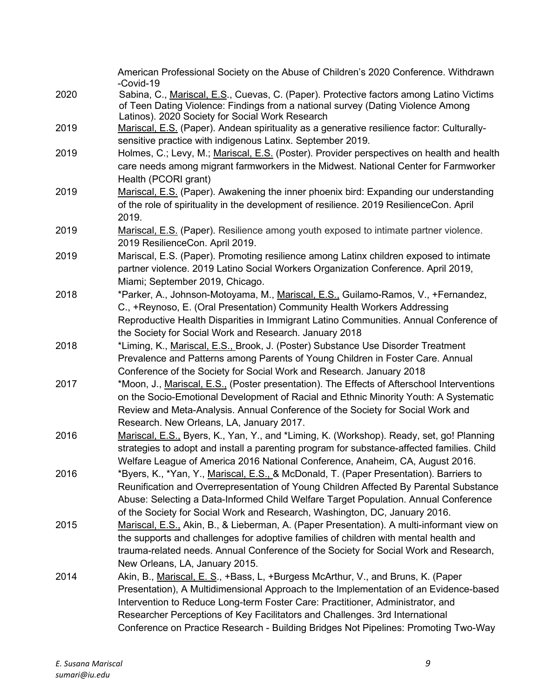|      | American Professional Society on the Abuse of Children's 2020 Conference. Withdrawn<br>-Covid-19                                                                                                                                                                                                                                                                                                                                   |
|------|------------------------------------------------------------------------------------------------------------------------------------------------------------------------------------------------------------------------------------------------------------------------------------------------------------------------------------------------------------------------------------------------------------------------------------|
| 2020 | Sabina, C., Mariscal, E.S., Cuevas, C. (Paper). Protective factors among Latino Victims<br>of Teen Dating Violence: Findings from a national survey (Dating Violence Among<br>Latinos). 2020 Society for Social Work Research                                                                                                                                                                                                      |
| 2019 | Mariscal, E.S. (Paper). Andean spirituality as a generative resilience factor: Culturally-<br>sensitive practice with indigenous Latinx. September 2019.                                                                                                                                                                                                                                                                           |
| 2019 | Holmes, C.; Levy, M.; Mariscal, E.S. (Poster). Provider perspectives on health and health<br>care needs among migrant farmworkers in the Midwest. National Center for Farmworker<br>Health (PCORI grant)                                                                                                                                                                                                                           |
| 2019 | Mariscal, E.S. (Paper). Awakening the inner phoenix bird: Expanding our understanding<br>of the role of spirituality in the development of resilience. 2019 ResilienceCon. April<br>2019.                                                                                                                                                                                                                                          |
| 2019 | Mariscal, E.S. (Paper). Resilience among youth exposed to intimate partner violence.<br>2019 ResilienceCon. April 2019.                                                                                                                                                                                                                                                                                                            |
| 2019 | Mariscal, E.S. (Paper). Promoting resilience among Latinx children exposed to intimate<br>partner violence. 2019 Latino Social Workers Organization Conference. April 2019,<br>Miami; September 2019, Chicago.                                                                                                                                                                                                                     |
| 2018 | *Parker, A., Johnson-Motoyama, M., Mariscal, E.S., Guilamo-Ramos, V., +Fernandez,<br>C., +Reynoso, E. (Oral Presentation) Community Health Workers Addressing<br>Reproductive Health Disparities in Immigrant Latino Communities. Annual Conference of<br>the Society for Social Work and Research. January 2018                                                                                                                   |
| 2018 | *Liming, K., Mariscal, E.S., Brook, J. (Poster) Substance Use Disorder Treatment<br>Prevalence and Patterns among Parents of Young Children in Foster Care. Annual<br>Conference of the Society for Social Work and Research. January 2018                                                                                                                                                                                         |
| 2017 | *Moon, J., Mariscal, E.S., (Poster presentation). The Effects of Afterschool Interventions<br>on the Socio-Emotional Development of Racial and Ethnic Minority Youth: A Systematic<br>Review and Meta-Analysis. Annual Conference of the Society for Social Work and<br>Research. New Orleans, LA, January 2017.                                                                                                                   |
| 2016 | Mariscal, E.S., Byers, K., Yan, Y., and *Liming, K. (Workshop). Ready, set, go! Planning<br>strategies to adopt and install a parenting program for substance-affected families. Child<br>Welfare League of America 2016 National Conference, Anaheim, CA, August 2016.                                                                                                                                                            |
| 2016 | *Byers, K., *Yan, Y., Mariscal, E.S., & McDonald, T. (Paper Presentation). Barriers to<br>Reunification and Overrepresentation of Young Children Affected By Parental Substance<br>Abuse: Selecting a Data-Informed Child Welfare Target Population. Annual Conference<br>of the Society for Social Work and Research, Washington, DC, January 2016.                                                                               |
| 2015 | Mariscal, E.S., Akin, B., & Lieberman, A. (Paper Presentation). A multi-informant view on<br>the supports and challenges for adoptive families of children with mental health and<br>trauma-related needs. Annual Conference of the Society for Social Work and Research,<br>New Orleans, LA, January 2015.                                                                                                                        |
| 2014 | Akin, B., Mariscal, E. S., +Bass, L, +Burgess McArthur, V., and Bruns, K. (Paper<br>Presentation), A Multidimensional Approach to the Implementation of an Evidence-based<br>Intervention to Reduce Long-term Foster Care: Practitioner, Administrator, and<br>Researcher Perceptions of Key Facilitators and Challenges. 3rd International<br>Conference on Practice Research - Building Bridges Not Pipelines: Promoting Two-Way |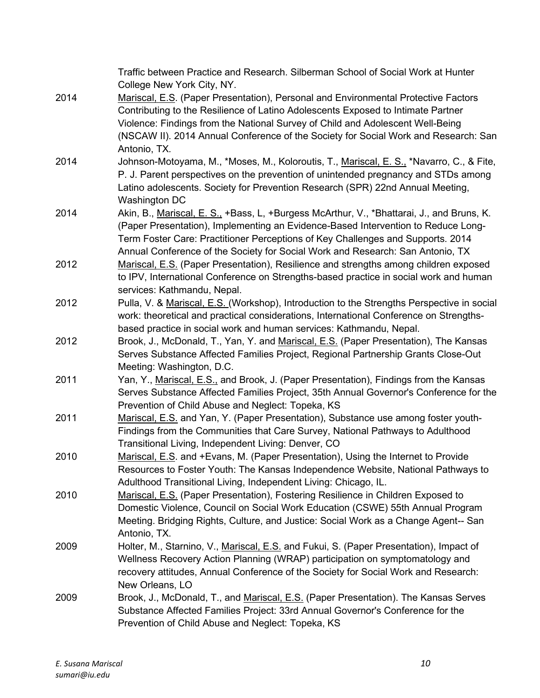|      | Traffic between Practice and Research. Silberman School of Social Work at Hunter<br>College New York City, NY. |
|------|----------------------------------------------------------------------------------------------------------------|
| 2014 | Mariscal, E.S. (Paper Presentation), Personal and Environmental Protective Factors                             |
|      | Contributing to the Resilience of Latino Adolescents Exposed to Intimate Partner                               |
|      | Violence: Findings from the National Survey of Child and Adolescent Well-Being                                 |
|      | (NSCAW II). 2014 Annual Conference of the Society for Social Work and Research: San                            |
|      | Antonio, TX.                                                                                                   |
| 2014 | Johnson-Motoyama, M., *Moses, M., Koloroutis, T., Mariscal, E. S., *Navarro, C., & Fite,                       |
|      | P. J. Parent perspectives on the prevention of unintended pregnancy and STDs among                             |
|      | Latino adolescents. Society for Prevention Research (SPR) 22nd Annual Meeting,                                 |
|      | Washington DC                                                                                                  |
| 2014 | Akin, B., Mariscal, E. S., +Bass, L, +Burgess McArthur, V., *Bhattarai, J., and Bruns, K.                      |
|      | (Paper Presentation), Implementing an Evidence-Based Intervention to Reduce Long-                              |
|      | Term Foster Care: Practitioner Perceptions of Key Challenges and Supports. 2014                                |
|      | Annual Conference of the Society for Social Work and Research: San Antonio, TX                                 |
| 2012 | Mariscal, E.S. (Paper Presentation), Resilience and strengths among children exposed                           |
|      | to IPV, International Conference on Strengths-based practice in social work and human                          |
|      | services: Kathmandu, Nepal.                                                                                    |
| 2012 | Pulla, V. & Mariscal, E.S. (Workshop), Introduction to the Strengths Perspective in social                     |
|      | work: theoretical and practical considerations, International Conference on Strengths-                         |
|      | based practice in social work and human services: Kathmandu, Nepal.                                            |
| 2012 | Brook, J., McDonald, T., Yan, Y. and Mariscal, E.S. (Paper Presentation), The Kansas                           |
|      | Serves Substance Affected Families Project, Regional Partnership Grants Close-Out                              |
|      | Meeting: Washington, D.C.                                                                                      |
| 2011 | Yan, Y., Mariscal, E.S., and Brook, J. (Paper Presentation), Findings from the Kansas                          |
|      | Serves Substance Affected Families Project, 35th Annual Governor's Conference for the                          |
|      | Prevention of Child Abuse and Neglect: Topeka, KS                                                              |
| 2011 | Mariscal, E.S. and Yan, Y. (Paper Presentation), Substance use among foster youth-                             |
|      | Findings from the Communities that Care Survey, National Pathways to Adulthood                                 |
|      | Transitional Living, Independent Living: Denver, CO                                                            |
| 2010 | Mariscal, E.S. and +Evans, M. (Paper Presentation), Using the Internet to Provide                              |
|      | Resources to Foster Youth: The Kansas Independence Website, National Pathways to                               |
|      | Adulthood Transitional Living, Independent Living: Chicago, IL.                                                |
| 2010 | Mariscal, E.S. (Paper Presentation), Fostering Resilience in Children Exposed to                               |
|      | Domestic Violence, Council on Social Work Education (CSWE) 55th Annual Program                                 |
|      | Meeting. Bridging Rights, Culture, and Justice: Social Work as a Change Agent-- San                            |
|      | Antonio, TX.                                                                                                   |
| 2009 | Holter, M., Starnino, V., Mariscal, E.S. and Fukui, S. (Paper Presentation), Impact of                         |
|      | Wellness Recovery Action Planning (WRAP) participation on symptomatology and                                   |
|      | recovery attitudes, Annual Conference of the Society for Social Work and Research:                             |
|      | New Orleans, LO                                                                                                |
| 2009 | Brook, J., McDonald, T., and Mariscal, E.S. (Paper Presentation). The Kansas Serves                            |
|      | Substance Affected Families Project: 33rd Annual Governor's Conference for the                                 |
|      | Prevention of Child Abuse and Neglect: Topeka, KS                                                              |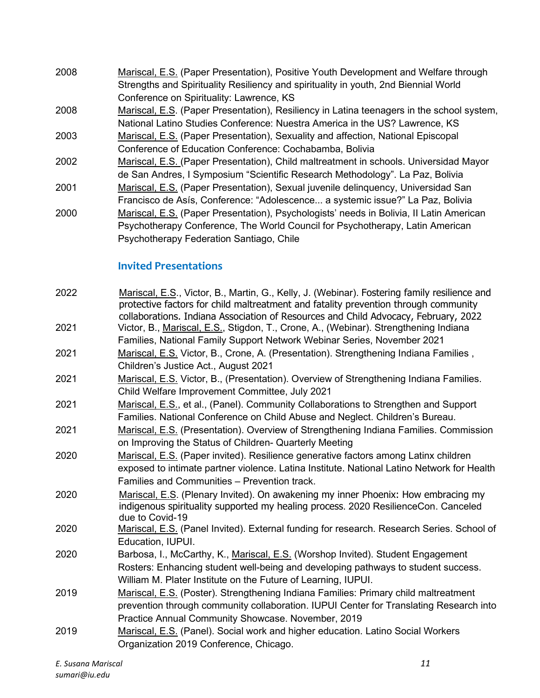- 2008 Mariscal, E.S. (Paper Presentation), Positive Youth Development and Welfare through Strengths and Spirituality Resiliency and spirituality in youth, 2nd Biennial World Conference on Spirituality: Lawrence, KS
- 2008 Mariscal, E.S. (Paper Presentation), Resiliency in Latina teenagers in the school system, National Latino Studies Conference: Nuestra America in the US? Lawrence, KS
- 2003 Mariscal, E.S. (Paper Presentation), Sexuality and affection, National Episcopal Conference of Education Conference: Cochabamba, Bolivia
- 2002 Mariscal, E.S. (Paper Presentation), Child maltreatment in schools. Universidad Mayor de San Andres, I Symposium "Scientific Research Methodology". La Paz, Bolivia
- 2001 Mariscal, E.S. (Paper Presentation), Sexual juvenile delinquency, Universidad San
- Francisco de Asís, Conference: "Adolescence... a systemic issue?" La Paz, Bolivia 2000 Mariscal, E.S. (Paper Presentation), Psychologists' needs in Bolivia, II Latin American Psychotherapy Conference, The World Council for Psychotherapy, Latin American Psychotherapy Federation Santiago, Chile

## **Invited Presentations**

| 2022 | Mariscal, E.S., Victor, B., Martin, G., Kelly, J. (Webinar). Fostering family resilience and<br>protective factors for child maltreatment and fatality prevention through community<br>collaborations. Indiana Association of Resources and Child Advocacy, February, 2022 |
|------|----------------------------------------------------------------------------------------------------------------------------------------------------------------------------------------------------------------------------------------------------------------------------|
| 2021 | Victor, B., Mariscal, E.S., Stigdon, T., Crone, A., (Webinar). Strengthening Indiana<br>Families, National Family Support Network Webinar Series, November 2021                                                                                                            |
| 2021 | Mariscal, E.S. Victor, B., Crone, A. (Presentation). Strengthening Indiana Families,<br>Children's Justice Act., August 2021                                                                                                                                               |
| 2021 | Mariscal, E.S. Victor, B., (Presentation). Overview of Strengthening Indiana Families.<br>Child Welfare Improvement Committee, July 2021                                                                                                                                   |
| 2021 | Mariscal, E.S., et al., (Panel). Community Collaborations to Strengthen and Support<br>Families. National Conference on Child Abuse and Neglect. Children's Bureau.                                                                                                        |
| 2021 | Mariscal, E.S. (Presentation). Overview of Strengthening Indiana Families. Commission<br>on Improving the Status of Children- Quarterly Meeting                                                                                                                            |
| 2020 | Mariscal, E.S. (Paper invited). Resilience generative factors among Latinx children<br>exposed to intimate partner violence. Latina Institute. National Latino Network for Health<br>Families and Communities - Prevention track.                                          |
| 2020 | Mariscal, E.S. (Plenary Invited). On awakening my inner Phoenix: How embracing my<br>indigenous spirituality supported my healing process. 2020 ResilienceCon. Canceled<br>due to Covid-19                                                                                 |
| 2020 | Mariscal, E.S. (Panel Invited). External funding for research. Research Series. School of<br>Education, IUPUI.                                                                                                                                                             |
| 2020 | Barbosa, I., McCarthy, K., Mariscal, E.S. (Worshop Invited). Student Engagement<br>Rosters: Enhancing student well-being and developing pathways to student success.<br>William M. Plater Institute on the Future of Learning, IUPUI.                                      |
| 2019 | Mariscal, E.S. (Poster). Strengthening Indiana Families: Primary child maltreatment<br>prevention through community collaboration. IUPUI Center for Translating Research into<br>Practice Annual Community Showcase. November, 2019                                        |
| 2019 | Mariscal, E.S. (Panel). Social work and higher education. Latino Social Workers<br>Organization 2019 Conference, Chicago.                                                                                                                                                  |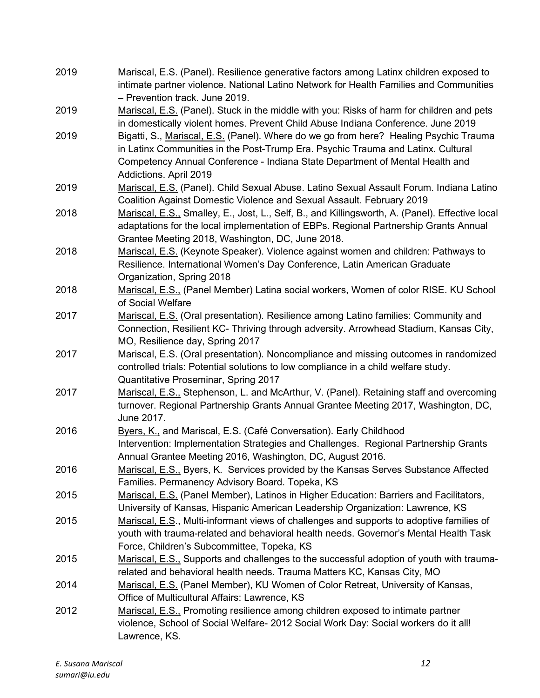| 2019 | Mariscal, E.S. (Panel). Resilience generative factors among Latinx children exposed to<br>intimate partner violence. National Latino Network for Health Families and Communities                                                                                                    |
|------|-------------------------------------------------------------------------------------------------------------------------------------------------------------------------------------------------------------------------------------------------------------------------------------|
| 2019 | - Prevention track. June 2019.<br>Mariscal, E.S. (Panel). Stuck in the middle with you: Risks of harm for children and pets<br>in domestically violent homes. Prevent Child Abuse Indiana Conference. June 2019                                                                     |
| 2019 | Bigatti, S., Mariscal, E.S. (Panel). Where do we go from here? Healing Psychic Trauma<br>in Latinx Communities in the Post-Trump Era. Psychic Trauma and Latinx. Cultural<br>Competency Annual Conference - Indiana State Department of Mental Health and<br>Addictions. April 2019 |
| 2019 | Mariscal, E.S. (Panel). Child Sexual Abuse. Latino Sexual Assault Forum. Indiana Latino<br>Coalition Against Domestic Violence and Sexual Assault. February 2019                                                                                                                    |
| 2018 | Mariscal, E.S., Smalley, E., Jost, L., Self, B., and Killingsworth, A. (Panel). Effective local<br>adaptations for the local implementation of EBPs. Regional Partnership Grants Annual<br>Grantee Meeting 2018, Washington, DC, June 2018.                                         |
| 2018 | Mariscal, E.S. (Keynote Speaker). Violence against women and children: Pathways to<br>Resilience. International Women's Day Conference, Latin American Graduate<br>Organization, Spring 2018                                                                                        |
| 2018 | Mariscal, E.S., (Panel Member) Latina social workers, Women of color RISE. KU School<br>of Social Welfare                                                                                                                                                                           |
| 2017 | Mariscal, E.S. (Oral presentation). Resilience among Latino families: Community and<br>Connection, Resilient KC- Thriving through adversity. Arrowhead Stadium, Kansas City,<br>MO, Resilience day, Spring 2017                                                                     |
| 2017 | Mariscal, E.S. (Oral presentation). Noncompliance and missing outcomes in randomized<br>controlled trials: Potential solutions to low compliance in a child welfare study.<br>Quantitative Proseminar, Spring 2017                                                                  |
| 2017 | Mariscal, E.S., Stephenson, L. and McArthur, V. (Panel). Retaining staff and overcoming<br>turnover. Regional Partnership Grants Annual Grantee Meeting 2017, Washington, DC,<br>June 2017.                                                                                         |
| 2016 | Byers, K., and Mariscal, E.S. (Café Conversation). Early Childhood<br>Intervention: Implementation Strategies and Challenges. Regional Partnership Grants<br>Annual Grantee Meeting 2016, Washington, DC, August 2016.                                                              |
| 2016 | Mariscal, E.S., Byers, K. Services provided by the Kansas Serves Substance Affected<br>Families. Permanency Advisory Board. Topeka, KS                                                                                                                                              |
| 2015 | Mariscal, E.S. (Panel Member), Latinos in Higher Education: Barriers and Facilitators,<br>University of Kansas, Hispanic American Leadership Organization: Lawrence, KS                                                                                                             |
| 2015 | Mariscal, E.S., Multi-informant views of challenges and supports to adoptive families of<br>youth with trauma-related and behavioral health needs. Governor's Mental Health Task<br>Force, Children's Subcommittee, Topeka, KS                                                      |
| 2015 | Mariscal, E.S., Supports and challenges to the successful adoption of youth with trauma-<br>related and behavioral health needs. Trauma Matters KC, Kansas City, MO                                                                                                                 |
| 2014 | Mariscal, E.S. (Panel Member), KU Women of Color Retreat, University of Kansas,<br>Office of Multicultural Affairs: Lawrence, KS                                                                                                                                                    |
| 2012 | Mariscal, E.S., Promoting resilience among children exposed to intimate partner<br>violence, School of Social Welfare- 2012 Social Work Day: Social workers do it all!<br>Lawrence, KS.                                                                                             |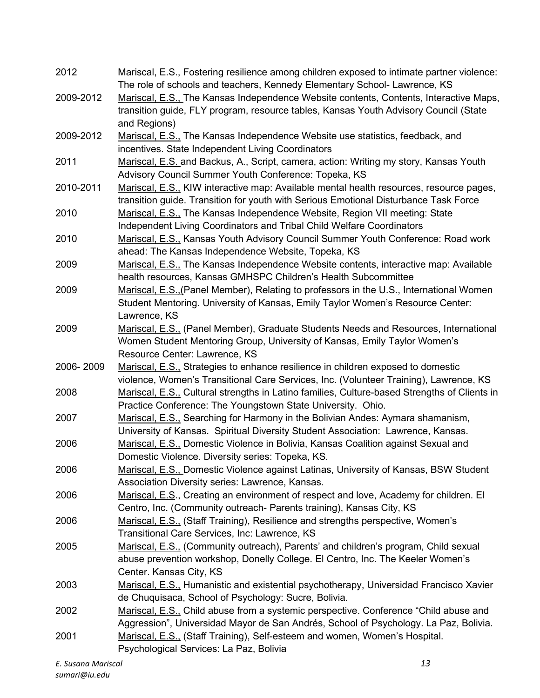| 2012      | Mariscal, E.S., Fostering resilience among children exposed to intimate partner violence:    |
|-----------|----------------------------------------------------------------------------------------------|
|           | The role of schools and teachers, Kennedy Elementary School- Lawrence, KS                    |
| 2009-2012 | Mariscal, E.S., The Kansas Independence Website contents, Contents, Interactive Maps,        |
|           | transition guide, FLY program, resource tables, Kansas Youth Advisory Council (State         |
|           | and Regions)                                                                                 |
| 2009-2012 | Mariscal, E.S., The Kansas Independence Website use statistics, feedback, and                |
|           | incentives. State Independent Living Coordinators                                            |
| 2011      | Mariscal, E.S. and Backus, A., Script, camera, action: Writing my story, Kansas Youth        |
|           | Advisory Council Summer Youth Conference: Topeka, KS                                         |
| 2010-2011 | Mariscal, E.S., KIW interactive map: Available mental health resources, resource pages,      |
|           | transition guide. Transition for youth with Serious Emotional Disturbance Task Force         |
| 2010      | Mariscal, E.S., The Kansas Independence Website, Region VII meeting: State                   |
|           | Independent Living Coordinators and Tribal Child Welfare Coordinators                        |
| 2010      | Mariscal, E.S., Kansas Youth Advisory Council Summer Youth Conference: Road work             |
|           | ahead: The Kansas Independence Website, Topeka, KS                                           |
| 2009      | Mariscal, E.S., The Kansas Independence Website contents, interactive map: Available         |
|           | health resources, Kansas GMHSPC Children's Health Subcommittee                               |
| 2009      | Mariscal, E.S., (Panel Member), Relating to professors in the U.S., International Women      |
|           |                                                                                              |
|           | Student Mentoring. University of Kansas, Emily Taylor Women's Resource Center:               |
|           | Lawrence, KS                                                                                 |
| 2009      | Mariscal, E.S., (Panel Member), Graduate Students Needs and Resources, International         |
|           | Women Student Mentoring Group, University of Kansas, Emily Taylor Women's                    |
|           | Resource Center: Lawrence, KS                                                                |
| 2006-2009 | Mariscal, E.S., Strategies to enhance resilience in children exposed to domestic             |
|           | violence, Women's Transitional Care Services, Inc. (Volunteer Training), Lawrence, KS        |
| 2008      | Mariscal, E.S., Cultural strengths in Latino families, Culture-based Strengths of Clients in |
|           | Practice Conference: The Youngstown State University. Ohio.                                  |
| 2007      | Mariscal, E.S., Searching for Harmony in the Bolivian Andes: Aymara shamanism,               |
|           | University of Kansas. Spiritual Diversity Student Association: Lawrence, Kansas.             |
| 2006      | Mariscal, E.S., Domestic Violence in Bolivia, Kansas Coalition against Sexual and            |
|           | Domestic Violence. Diversity series: Topeka, KS.                                             |
| 2006      | Mariscal, E.S., Domestic Violence against Latinas, University of Kansas, BSW Student         |
|           | Association Diversity series: Lawrence, Kansas.                                              |
| 2006      | Mariscal, E.S., Creating an environment of respect and love, Academy for children. El        |
|           | Centro, Inc. (Community outreach- Parents training), Kansas City, KS                         |
| 2006      | Mariscal, E.S., (Staff Training), Resilience and strengths perspective, Women's              |
|           | Transitional Care Services, Inc: Lawrence, KS                                                |
| 2005      | Mariscal, E.S., (Community outreach), Parents' and children's program, Child sexual          |
|           | abuse prevention workshop, Donelly College. El Centro, Inc. The Keeler Women's               |
|           | Center. Kansas City, KS                                                                      |
| 2003      | Mariscal, E.S., Humanistic and existential psychotherapy, Universidad Francisco Xavier       |
|           | de Chuquisaca, School of Psychology: Sucre, Bolivia.                                         |
| 2002      | Mariscal, E.S., Child abuse from a systemic perspective. Conference "Child abuse and         |
|           | Aggression", Universidad Mayor de San Andrés, School of Psychology. La Paz, Bolivia.         |
| 2001      | Mariscal, E.S., (Staff Training), Self-esteem and women, Women's Hospital.                   |
|           | Psychological Services: La Paz, Bolivia                                                      |
|           |                                                                                              |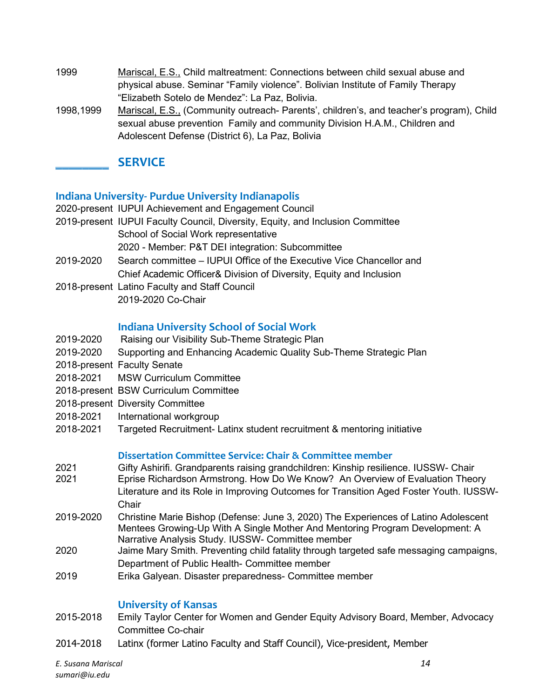- 1999 Mariscal, E.S., Child maltreatment: Connections between child sexual abuse and physical abuse. Seminar "Family violence". Bolivian Institute of Family Therapy "Elizabeth Sotelo de Mendez": La Paz, Bolivia.
- 1998,1999 Mariscal, E.S., (Community outreach- Parents', children's, and teacher's program), Child sexual abuse prevention Family and community Division H.A.M., Children and Adolescent Defense (District 6), La Paz, Bolivia

## **\_\_\_\_\_\_\_\_ SERVICE**

#### **Indiana University- Purdue University Indianapolis**

- 2020-present IUPUI Achievement and Engagement Council
- 2019-present IUPUI Faculty Council, Diversity, Equity, and Inclusion Committee School of Social Work representative 2020 - Member: P&T DEI integration: Subcommittee
- 2019-2020 Search committee IUPUI Office of the Executive Vice Chancellor and Chief Academic Officer& Division of Diversity, Equity and Inclusion
- 2018-present Latino Faculty and Staff Council 2019-2020 Co-Chair

### **Indiana University School of Social Work**

- 2019-2020 Raising our Visibility Sub-Theme Strategic Plan
- 2019-2020 Supporting and Enhancing Academic Quality Sub-Theme Strategic Plan
- 2018-present Faculty Senate
- 2018-2021 MSW Curriculum Committee
- 2018-present BSW Curriculum Committee
- 2018-present Diversity Committee
- 2018-2021 International workgroup
- 2018-2021 Targeted Recruitment- Latinx student recruitment & mentoring initiative

#### **Dissertation Committee Service: Chair & Committee member**

- 2021 Gifty Ashirifi. Grandparents raising grandchildren: Kinship resilience. IUSSW- Chair
- Eprise Richardson Armstrong. How Do We Know? An Overview of Evaluation Theory Literature and its Role in Improving Outcomes for Transition Aged Foster Youth. IUSSW-**Chair**
- 2019-2020 Christine Marie Bishop (Defense: June 3, 2020) The Experiences of Latino Adolescent Mentees Growing-Up With A Single Mother And Mentoring Program Development: A Narrative Analysis Study. IUSSW- Committee member
- 2020 Jaime Mary Smith. Preventing child fatality through targeted safe messaging campaigns, Department of Public Health- Committee member
- 2019 Erika Galyean. Disaster preparedness- Committee member

#### **University of Kansas**

- 2015-2018 Emily Taylor Center for Women and Gender Equity Advisory Board, Member, Advocacy Committee Co-chair
- 2014-2018 Latinx (former Latino Faculty and Staff Council), Vice-president, Member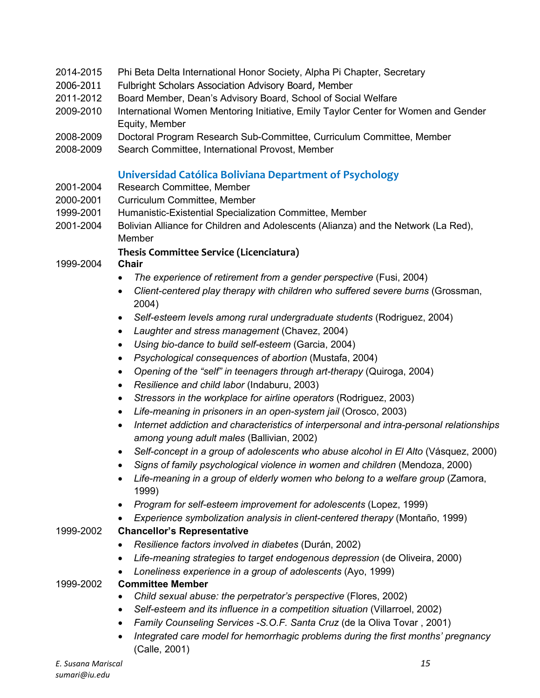- 2014-2015 Phi Beta Delta International Honor Society, Alpha Pi Chapter, Secretary
- 2006-2011 Fulbright Scholars Association Advisory Board, Member
- 2011-2012 Board Member, Dean's Advisory Board, School of Social Welfare
- 2009-2010 International Women Mentoring Initiative, Emily Taylor Center for Women and Gender Equity, Member
- 2008-2009 Doctoral Program Research Sub-Committee, Curriculum Committee, Member
- 2008-2009 Search Committee, International Provost, Member

#### **Universidad Católica Boliviana Department of Psychology**

- 2001-2004 Research Committee, Member
- 2000-2001 Curriculum Committee, Member
- 1999-2001 Humanistic-Existential Specialization Committee, Member
- 2001-2004 Bolivian Alliance for Children and Adolescents (Alianza) and the Network (La Red), Member

#### **Thesis Committee Service (Licenciatura)**

1999-2004 **Chair**

- The experience of retirement from a gender perspective (Fusi, 2004)
- Client-centered play therapy with children who suffered severe burns (Grossman, 2004)
- Self-esteem levels among rural undergraduate students (Rodriguez, 2004)
- *Laughter and stress management* (Chavez, 2004)
- *Using bio-dance to build self-esteem* (Garcia, 2004)
- *Psychological consequences of abortion* (Mustafa, 2004)
- *Opening of the "self" in teenagers through art-therapy* (Quiroga, 2004)
- *Resilience and child labor* (Indaburu, 2003)
- *Stressors in the workplace for airline operators (Rodriguez, 2003)*
- *Life-meaning in prisoners in an open-system jail* (Orosco, 2003)
- *Internet addiction and characteristics of interpersonal and intra-personal relationships among young adult males* (Ballivian, 2002)
- Self-concept in a group of adolescents who abuse alcohol in El Alto (Vásquez, 2000)
- *Signs of family psychological violence in women and children* (Mendoza, 2000)
- Life-meaning in a group of elderly women who belong to a welfare group (Zamora, 1999)
- *Program for self-esteem improvement for adolescents* (Lopez, 1999)
- *Experience symbolization analysis in client-centered therapy* (Montaño, 1999)

#### 1999-2002 **Chancellor's Representative**

- *Resilience factors involved in diabetes* (Durán, 2002)
- *Life-meaning strategies to target endogenous depression* (de Oliveira, 2000)
- *Loneliness experience in a group of adolescents* (Ayo, 1999)

#### 1999-2002 **Committee Member**

- *Child sexual abuse: the perpetrator's perspective* (Flores, 2002)
- Self-esteem and its influence in a competition situation (Villarroel, 2002)
- *Family Counseling Services -S.O.F. Santa Cruz* (de la Oliva Tovar , 2001)
- *Integrated care model for hemorrhagic problems during the first months' pregnancy*  (Calle, 2001)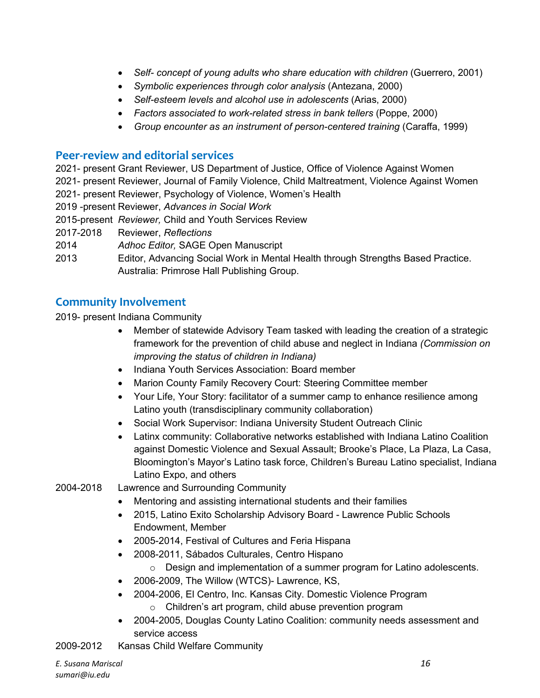- Self- concept of young adults who share education with children (Guerrero, 2001)
- *Symbolic experiences through color analysis* (Antezana, 2000)
- *Self-esteem levels and alcohol use in adolescents* (Arias, 2000)
- *Factors associated to work-related stress in bank tellers* (Poppe, 2000)
- Group encounter as an instrument of person-centered training (Caraffa, 1999)

## **Peer-review and editorial services**

2021- present Grant Reviewer, US Department of Justice, Office of Violence Against Women

2021- present Reviewer, Journal of Family Violence, Child Maltreatment, Violence Against Women

2021- present Reviewer, Psychology of Violence, Women's Health

- 2019 -present Reviewer, *Advances in Social Work*
- 2015-present *Reviewer,* Child and Youth Services Review
- 2017-2018 Reviewer, *Reflections*
- 2014 *Adhoc Editor,* SAGE Open Manuscript
- 2013 Editor, Advancing Social Work in Mental Health through Strengths Based Practice. Australia: Primrose Hall Publishing Group.

## **Community Involvement**

2019- present Indiana Community

- Member of statewide Advisory Team tasked with leading the creation of a strategic framework for the prevention of child abuse and neglect in Indiana *(Commission on improving the status of children in Indiana)*
- Indiana Youth Services Association: Board member
- Marion County Family Recovery Court: Steering Committee member
- Your Life, Your Story: facilitator of a summer camp to enhance resilience among Latino youth (transdisciplinary community collaboration)
- Social Work Supervisor: Indiana University Student Outreach Clinic
- Latinx community: Collaborative networks established with Indiana Latino Coalition against Domestic Violence and Sexual Assault; Brooke's Place, La Plaza, La Casa, Bloomington's Mayor's Latino task force, Children's Bureau Latino specialist, Indiana Latino Expo, and others
- 2004-2018 Lawrence and Surrounding Community
	- Mentoring and assisting international students and their families
	- 2015, Latino Exito Scholarship Advisory Board Lawrence Public Schools Endowment, Member
	- 2005-2014, Festival of Cultures and Feria Hispana
	- 2008-2011, Sábados Culturales, Centro Hispano
		- o Design and implementation of a summer program for Latino adolescents.
	- 2006-2009, The Willow (WTCS)- Lawrence, KS,
	- 2004-2006, El Centro, Inc. Kansas City. Domestic Violence Program o Children's art program, child abuse prevention program
	- 2004-2005, Douglas County Latino Coalition: community needs assessment and service access
- 2009-2012 Kansas Child Welfare Community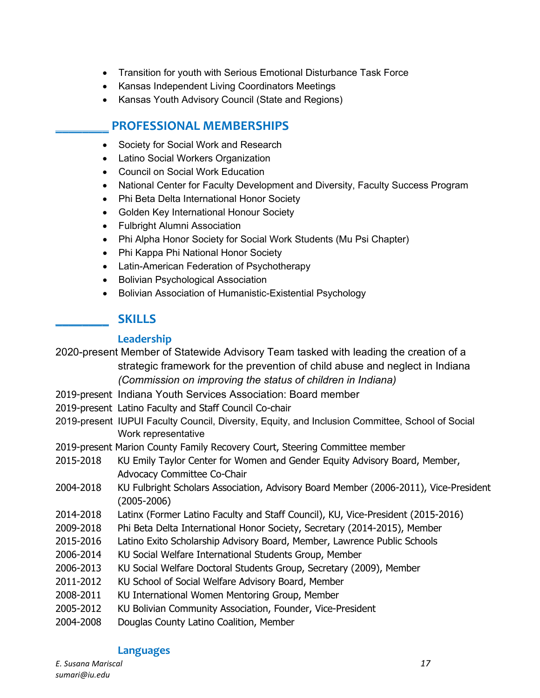- Transition for youth with Serious Emotional Disturbance Task Force
- Kansas Independent Living Coordinators Meetings
- Kansas Youth Advisory Council (State and Regions)

## **\_\_\_\_\_\_\_\_ PROFESSIONAL MEMBERSHIPS**

- Society for Social Work and Research
- Latino Social Workers Organization
- Council on Social Work Education
- National Center for Faculty Development and Diversity, Faculty Success Program
- Phi Beta Delta International Honor Society
- Golden Key International Honour Society
- Fulbright Alumni Association
- Phi Alpha Honor Society for Social Work Students (Mu Psi Chapter)
- Phi Kappa Phi National Honor Society
- Latin-American Federation of Psychotherapy
- Bolivian Psychological Association
- Bolivian Association of Humanistic-Existential Psychology

### **\_\_\_\_\_\_\_\_ SKILLS**

#### **Leadership**

2020-present Member of Statewide Advisory Team tasked with leading the creation of a strategic framework for the prevention of child abuse and neglect in Indiana *(Commission on improving the status of children in Indiana)*

- 2019-present Indiana Youth Services Association: Board member
- 2019-present Latino Faculty and Staff Council Co-chair
- 2019-present IUPUI Faculty Council, Diversity, Equity, and Inclusion Committee, School of Social Work representative
- 2019-present Marion County Family Recovery Court, Steering Committee member
- 2015-2018 KU Emily Taylor Center for Women and Gender Equity Advisory Board, Member, Advocacy Committee Co-Chair
- 2004-2018 KU Fulbright Scholars Association, Advisory Board Member (2006-2011), Vice-President (2005-2006)
- 2014-2018 Latinx (Former Latino Faculty and Staff Council), KU, Vice-President (2015-2016)
- 2009-2018 Phi Beta Delta International Honor Society, Secretary (2014-2015), Member
- 2015-2016 Latino Exito Scholarship Advisory Board, Member, Lawrence Public Schools
- 2006-2014 KU Social Welfare International Students Group, Member
- 2006-2013 KU Social Welfare Doctoral Students Group, Secretary (2009), Member
- 2011-2012 KU School of Social Welfare Advisory Board, Member
- 2008-2011 KU International Women Mentoring Group, Member
- 2005-2012 KU Bolivian Community Association, Founder, Vice-President
- 2004-2008 Douglas County Latino Coalition, Member

#### **Languages**